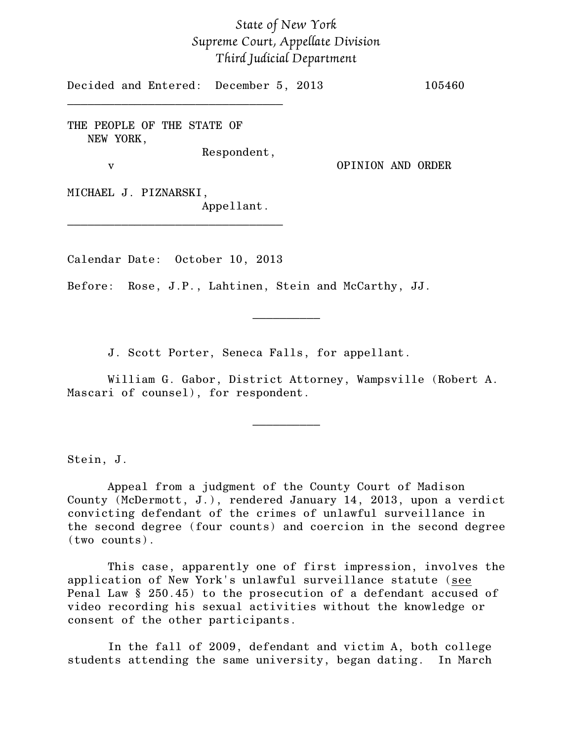## *State of New York Supreme Court, Appellate Division Third Judicial Department*

Decided and Entered: December 5, 2013 105460

THE PEOPLE OF THE STATE OF NEW YORK,

\_\_\_\_\_\_\_\_\_\_\_\_\_\_\_\_\_\_\_\_\_\_\_\_\_\_\_\_\_\_\_\_

Respondent,

v OPINION AND ORDER

MICHAEL J. PIZNARSKI, Appellant.

Calendar Date: October 10, 2013

\_\_\_\_\_\_\_\_\_\_\_\_\_\_\_\_\_\_\_\_\_\_\_\_\_\_\_\_\_\_\_\_

Before: Rose, J.P., Lahtinen, Stein and McCarthy, JJ.

J. Scott Porter, Seneca Falls, for appellant.

William G. Gabor, District Attorney, Wampsville (Robert A. Mascari of counsel), for respondent.

\_\_\_\_\_\_\_\_\_\_

 $\frac{1}{2}$ 

Stein, J.

Appeal from a judgment of the County Court of Madison County (McDermott, J.), rendered January 14, 2013, upon a verdict convicting defendant of the crimes of unlawful surveillance in the second degree (four counts) and coercion in the second degree (two counts).

This case, apparently one of first impression, involves the application of New York's unlawful surveillance statute (see Penal Law § 250.45) to the prosecution of a defendant accused of video recording his sexual activities without the knowledge or consent of the other participants.

In the fall of 2009, defendant and victim A, both college students attending the same university, began dating. In March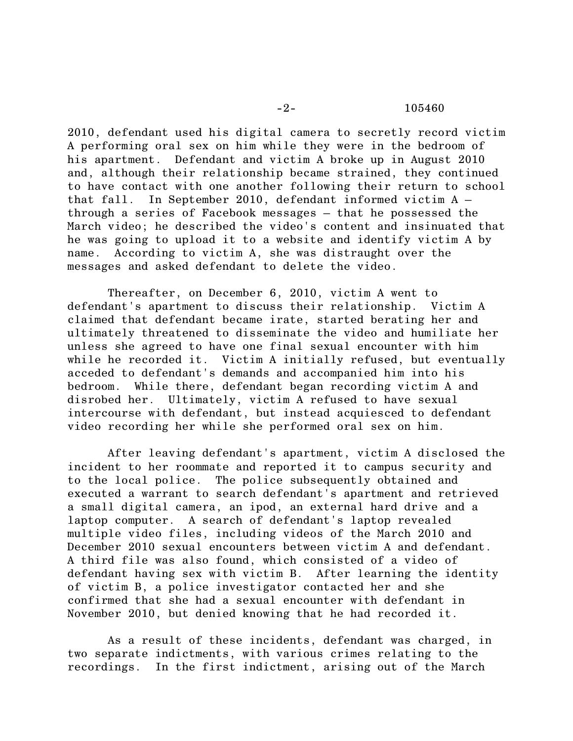## -2- 105460

2010, defendant used his digital camera to secretly record victim A performing oral sex on him while they were in the bedroom of his apartment. Defendant and victim A broke up in August 2010 and, although their relationship became strained, they continued to have contact with one another following their return to school that fall. In September 2010, defendant informed victim A – through a series of Facebook messages – that he possessed the March video; he described the video's content and insinuated that he was going to upload it to a website and identify victim A by name. According to victim A, she was distraught over the messages and asked defendant to delete the video.

Thereafter, on December 6, 2010, victim A went to defendant's apartment to discuss their relationship. Victim A claimed that defendant became irate, started berating her and ultimately threatened to disseminate the video and humiliate her unless she agreed to have one final sexual encounter with him while he recorded it. Victim A initially refused, but eventually acceded to defendant's demands and accompanied him into his bedroom. While there, defendant began recording victim A and disrobed her. Ultimately, victim A refused to have sexual intercourse with defendant, but instead acquiesced to defendant video recording her while she performed oral sex on him.

After leaving defendant's apartment, victim A disclosed the incident to her roommate and reported it to campus security and to the local police. The police subsequently obtained and executed a warrant to search defendant's apartment and retrieved a small digital camera, an ipod, an external hard drive and a laptop computer. A search of defendant's laptop revealed multiple video files, including videos of the March 2010 and December 2010 sexual encounters between victim A and defendant. A third file was also found, which consisted of a video of defendant having sex with victim B. After learning the identity of victim B, a police investigator contacted her and she confirmed that she had a sexual encounter with defendant in November 2010, but denied knowing that he had recorded it.

As a result of these incidents, defendant was charged, in two separate indictments, with various crimes relating to the recordings. In the first indictment, arising out of the March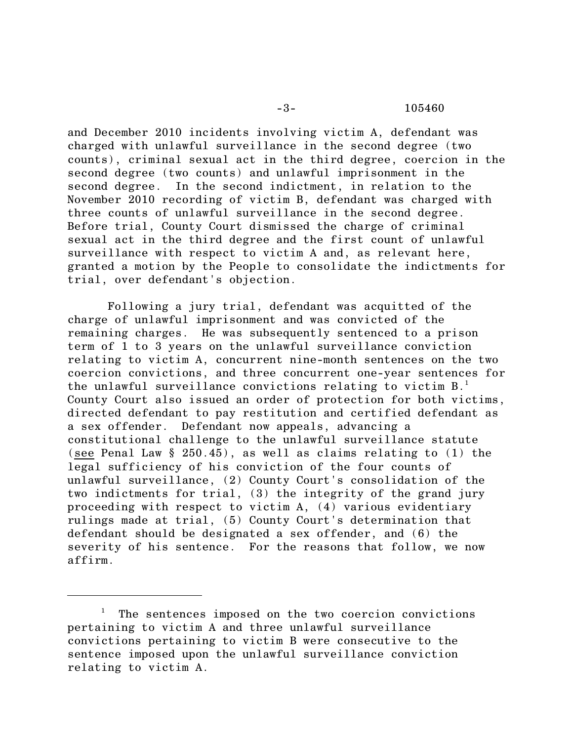## -3- 105460

and December 2010 incidents involving victim A, defendant was charged with unlawful surveillance in the second degree (two counts), criminal sexual act in the third degree, coercion in the second degree (two counts) and unlawful imprisonment in the second degree. In the second indictment, in relation to the November 2010 recording of victim B, defendant was charged with three counts of unlawful surveillance in the second degree. Before trial, County Court dismissed the charge of criminal sexual act in the third degree and the first count of unlawful surveillance with respect to victim A and, as relevant here, granted a motion by the People to consolidate the indictments for trial, over defendant's objection.

Following a jury trial, defendant was acquitted of the charge of unlawful imprisonment and was convicted of the remaining charges. He was subsequently sentenced to a prison term of 1 to 3 years on the unlawful surveillance conviction relating to victim A, concurrent nine-month sentences on the two coercion convictions, and three concurrent one-year sentences for the unlawful surveillance convictions relating to victim B.<sup>1</sup> County Court also issued an order of protection for both victims, directed defendant to pay restitution and certified defendant as a sex offender. Defendant now appeals, advancing a constitutional challenge to the unlawful surveillance statute (see Penal Law § 250.45), as well as claims relating to (1) the legal sufficiency of his conviction of the four counts of unlawful surveillance, (2) County Court's consolidation of the two indictments for trial, (3) the integrity of the grand jury proceeding with respect to victim A, (4) various evidentiary rulings made at trial, (5) County Court's determination that defendant should be designated a sex offender, and (6) the severity of his sentence. For the reasons that follow, we now affirm.

 $^1$  The sentences imposed on the two coercion convictions pertaining to victim A and three unlawful surveillance convictions pertaining to victim B were consecutive to the sentence imposed upon the unlawful surveillance conviction relating to victim A.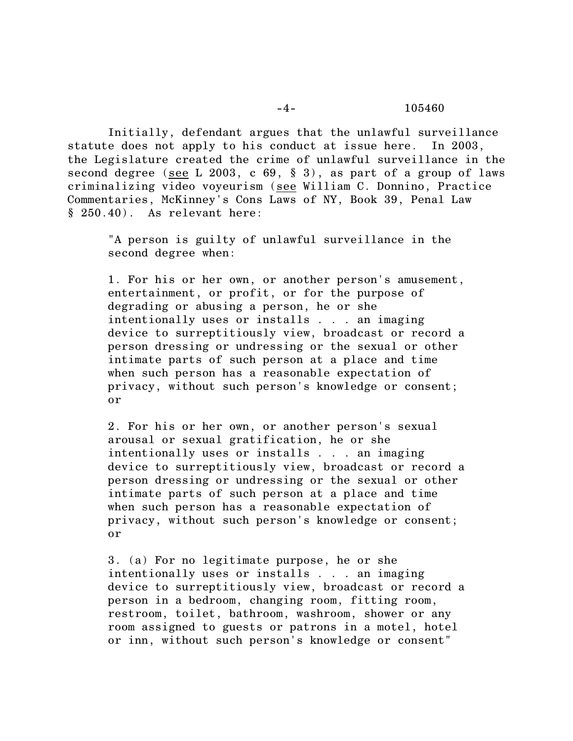## -4- 105460

Initially, defendant argues that the unlawful surveillance statute does not apply to his conduct at issue here. In 2003, the Legislature created the crime of unlawful surveillance in the second degree (see L 2003, c 69, § 3), as part of a group of laws criminalizing video voyeurism (see William C. Donnino, Practice Commentaries, McKinney's Cons Laws of NY, Book 39, Penal Law § 250.40). As relevant here:

"A person is guilty of unlawful surveillance in the second degree when:

1. For his or her own, or another person's amusement, entertainment, or profit, or for the purpose of degrading or abusing a person, he or she intentionally uses or installs . . . an imaging device to surreptitiously view, broadcast or record a person dressing or undressing or the sexual or other intimate parts of such person at a place and time when such person has a reasonable expectation of privacy, without such person's knowledge or consent; or

2. For his or her own, or another person's sexual arousal or sexual gratification, he or she intentionally uses or installs . . . an imaging device to surreptitiously view, broadcast or record a person dressing or undressing or the sexual or other intimate parts of such person at a place and time when such person has a reasonable expectation of privacy, without such person's knowledge or consent; or

3. (a) For no legitimate purpose, he or she intentionally uses or installs . . . an imaging device to surreptitiously view, broadcast or record a person in a bedroom, changing room, fitting room, restroom, toilet, bathroom, washroom, shower or any room assigned to guests or patrons in a motel, hotel or inn, without such person's knowledge or consent"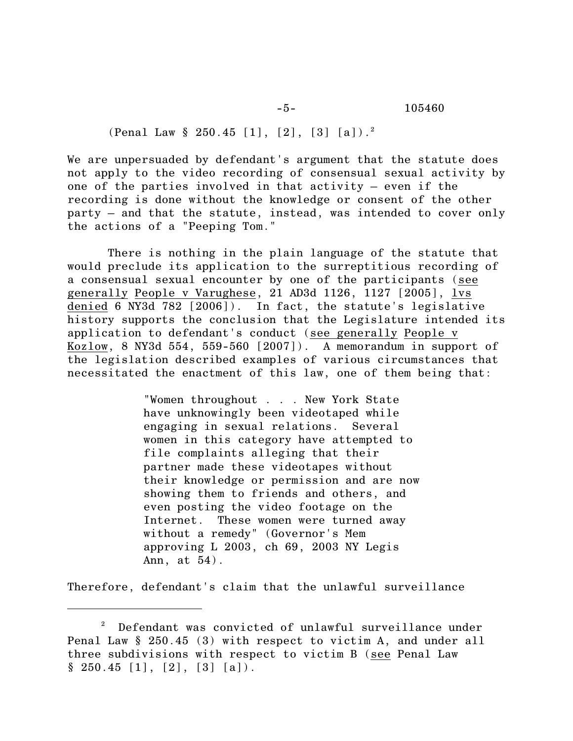-5- 105460

(Penal Law  $\S 250.45 [1], [2], [3] [a])$ .

We are unpersuaded by defendant's argument that the statute does not apply to the video recording of consensual sexual activity by one of the parties involved in that activity – even if the recording is done without the knowledge or consent of the other party – and that the statute, instead, was intended to cover only the actions of a "Peeping Tom."

There is nothing in the plain language of the statute that would preclude its application to the surreptitious recording of a consensual sexual encounter by one of the participants (see generally People v Varughese, 21 AD3d 1126, 1127 [2005], lvs denied 6 NY3d 782 [2006]). In fact, the statute's legislative history supports the conclusion that the Legislature intended its application to defendant's conduct (see generally People v Kozlow, 8 NY3d 554, 559-560 [2007]). A memorandum in support of the legislation described examples of various circumstances that necessitated the enactment of this law, one of them being that:

> "Women throughout . . . New York State have unknowingly been videotaped while engaging in sexual relations. Several women in this category have attempted to file complaints alleging that their partner made these videotapes without their knowledge or permission and are now showing them to friends and others, and even posting the video footage on the Internet. These women were turned away without a remedy" (Governor's Mem approving L 2003, ch 69, 2003 NY Legis Ann, at 54).

Therefore, defendant's claim that the unlawful surveillance

 $^{\text{2}}$  Defendant was convicted of unlawful surveillance under Penal Law § 250.45 (3) with respect to victim A, and under all three subdivisions with respect to victim B (see Penal Law  $§ 250.45 [1], [2], [3] [a]).$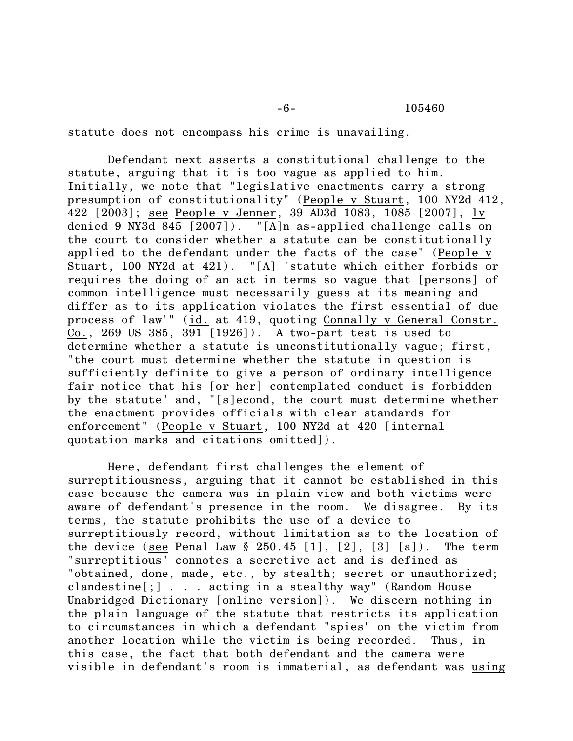statute does not encompass his crime is unavailing.

Defendant next asserts a constitutional challenge to the statute, arguing that it is too vague as applied to him. Initially, we note that "legislative enactments carry a strong presumption of constitutionality" (People v Stuart, 100 NY2d 412, 422 [2003]; see People v Jenner, 39 AD3d 1083, 1085 [2007], lv denied 9 NY3d 845 [2007]). "[A]n as-applied challenge calls on the court to consider whether a statute can be constitutionally applied to the defendant under the facts of the case" (People v Stuart, 100 NY2d at 421). "[A] 'statute which either forbids or requires the doing of an act in terms so vague that [persons] of common intelligence must necessarily guess at its meaning and differ as to its application violates the first essential of due process of law'" (id. at 419, quoting Connally v General Constr. Co., 269 US 385, 391 [1926]). A two-part test is used to determine whether a statute is unconstitutionally vague; first, "the court must determine whether the statute in question is sufficiently definite to give a person of ordinary intelligence fair notice that his [or her] contemplated conduct is forbidden by the statute" and, "[s]econd, the court must determine whether the enactment provides officials with clear standards for enforcement" (People v Stuart, 100 NY2d at 420 [internal quotation marks and citations omitted]).

Here, defendant first challenges the element of surreptitiousness, arguing that it cannot be established in this case because the camera was in plain view and both victims were aware of defendant's presence in the room. We disagree. By its terms, the statute prohibits the use of a device to surreptitiously record, without limitation as to the location of the device (see Penal Law  $\S 250.45$  [1], [2], [3] [a]). The term "surreptitious" connotes a secretive act and is defined as "obtained, done, made, etc., by stealth; secret or unauthorized; clandestine[;] . . . acting in a stealthy way" (Random House Unabridged Dictionary [online version]). We discern nothing in the plain language of the statute that restricts its application to circumstances in which a defendant "spies" on the victim from another location while the victim is being recorded. Thus, in this case, the fact that both defendant and the camera were visible in defendant's room is immaterial, as defendant was using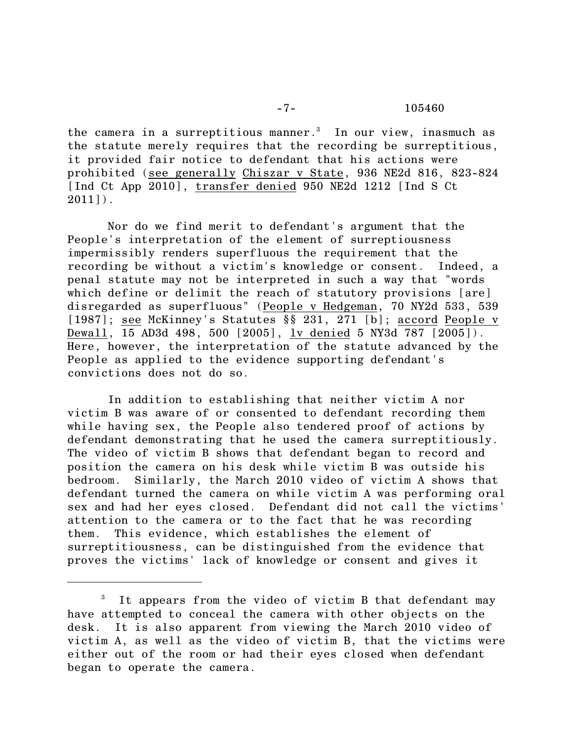the camera in a surreptitious manner.<sup>3</sup> In our view, inasmuch as the statute merely requires that the recording be surreptitious, it provided fair notice to defendant that his actions were prohibited (see generally Chiszar v State, 936 NE2d 816, 823-824 [Ind Ct App 2010], transfer denied 950 NE2d 1212 [Ind S Ct  $2011$ ].

Nor do we find merit to defendant's argument that the People's interpretation of the element of surreptiousness impermissibly renders superfluous the requirement that the recording be without a victim's knowledge or consent. Indeed, a penal statute may not be interpreted in such a way that "words which define or delimit the reach of statutory provisions [are] disregarded as superfluous" (People v Hedgeman, 70 NY2d 533, 539 [1987]; see McKinney's Statutes §§ 231, 271 [b]; accord People v Dewall, 15 AD3d 498, 500 [2005], lv denied 5 NY3d 787 [2005]). Here, however, the interpretation of the statute advanced by the People as applied to the evidence supporting defendant's convictions does not do so.

In addition to establishing that neither victim A nor victim B was aware of or consented to defendant recording them while having sex, the People also tendered proof of actions by defendant demonstrating that he used the camera surreptitiously. The video of victim B shows that defendant began to record and position the camera on his desk while victim B was outside his bedroom. Similarly, the March 2010 video of victim A shows that defendant turned the camera on while victim A was performing oral sex and had her eyes closed. Defendant did not call the victims' attention to the camera or to the fact that he was recording them. This evidence, which establishes the element of surreptitiousness, can be distinguished from the evidence that proves the victims' lack of knowledge or consent and gives it

 $3$  It appears from the video of victim B that defendant may have attempted to conceal the camera with other objects on the desk. It is also apparent from viewing the March 2010 video of victim A, as well as the video of victim B, that the victims were either out of the room or had their eyes closed when defendant began to operate the camera.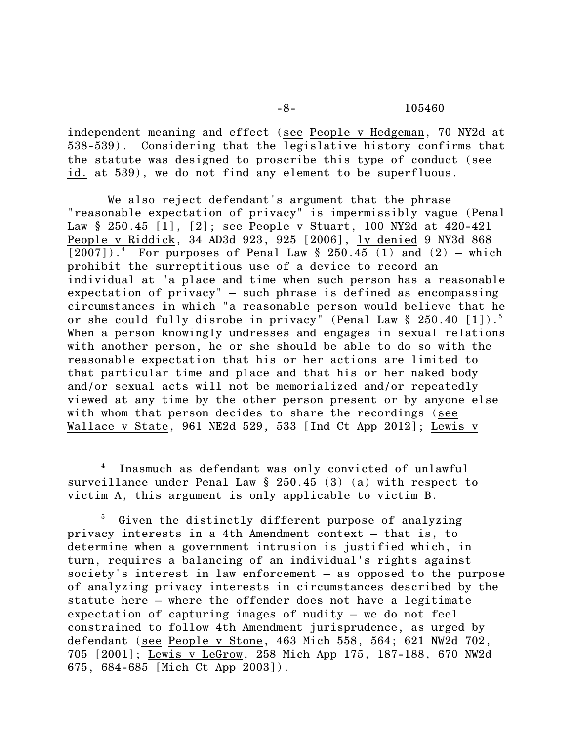-8- 105460

independent meaning and effect (see People v Hedgeman, 70 NY2d at 538-539). Considering that the legislative history confirms that the statute was designed to proscribe this type of conduct (see id. at 539), we do not find any element to be superfluous.

We also reject defendant's argument that the phrase "reasonable expectation of privacy" is impermissibly vague (Penal Law § 250.45 [1], [2]; see People v Stuart, 100 NY2d at 420-421 People v Riddick, 34 AD3d 923, 925 [2006], lv denied 9 NY3d 868  $[2007]$ ).<sup>4</sup> For purposes of Penal Law § 250.45 (1) and (2) – which prohibit the surreptitious use of a device to record an individual at "a place and time when such person has a reasonable expectation of privacy" – such phrase is defined as encompassing circumstances in which "a reasonable person would believe that he or she could fully disrobe in privacy" (Penal Law § 250.40 [1]).<sup>5</sup> When a person knowingly undresses and engages in sexual relations with another person, he or she should be able to do so with the reasonable expectation that his or her actions are limited to that particular time and place and that his or her naked body and/or sexual acts will not be memorialized and/or repeatedly viewed at any time by the other person present or by anyone else with whom that person decides to share the recordings (see Wallace v State, 961 NE2d 529, 533 [Ind Ct App 2012]; Lewis v

<sup>&</sup>lt;sup>4</sup> Inasmuch as defendant was only convicted of unlawful surveillance under Penal Law § 250.45 (3) (a) with respect to victim A, this argument is only applicable to victim B.

 $5$  Given the distinctly different purpose of analyzing privacy interests in a 4th Amendment context – that is, to determine when a government intrusion is justified which, in turn, requires a balancing of an individual's rights against society's interest in law enforcement – as opposed to the purpose of analyzing privacy interests in circumstances described by the statute here – where the offender does not have a legitimate expectation of capturing images of nudity – we do not feel constrained to follow 4th Amendment jurisprudence, as urged by defendant (see People v Stone, 463 Mich 558, 564; 621 NW2d 702, 705 [2001]; Lewis v LeGrow, 258 Mich App 175, 187-188, 670 NW2d 675, 684-685 [Mich Ct App 2003]).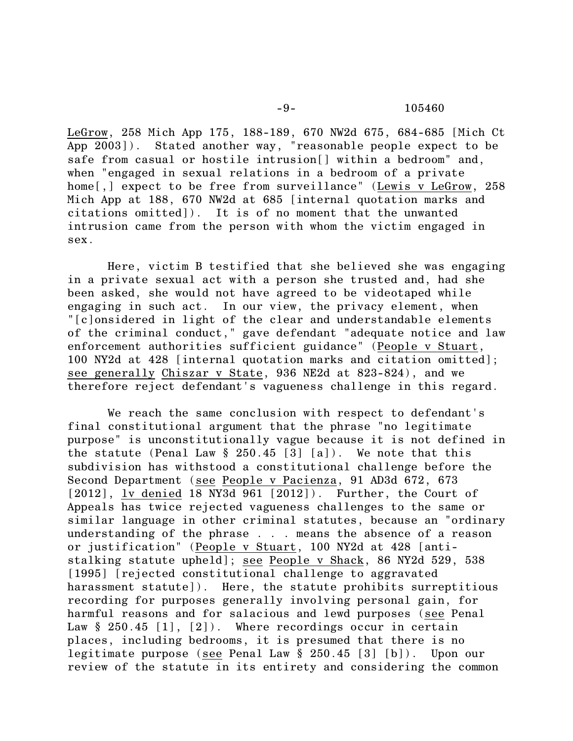LeGrow, 258 Mich App 175, 188-189, 670 NW2d 675, 684-685 [Mich Ct  $\overline{App 2003}$ ). Stated another way, "reasonable people expect to be safe from casual or hostile intrusion[] within a bedroom" and, when "engaged in sexual relations in a bedroom of a private home<sup>[,]</sup> expect to be free from surveillance" (Lewis v LeGrow, 258) Mich App at 188, 670 NW2d at 685 [internal quotation marks and citations omitted]). It is of no moment that the unwanted intrusion came from the person with whom the victim engaged in sex.

Here, victim B testified that she believed she was engaging in a private sexual act with a person she trusted and, had she been asked, she would not have agreed to be videotaped while engaging in such act. In our view, the privacy element, when "[c]onsidered in light of the clear and understandable elements of the criminal conduct," gave defendant "adequate notice and law enforcement authorities sufficient guidance" (People v Stuart, 100 NY2d at 428 [internal quotation marks and citation omitted]; see generally Chiszar v State, 936 NE2d at 823-824), and we therefore reject defendant's vagueness challenge in this regard.

We reach the same conclusion with respect to defendant's final constitutional argument that the phrase "no legitimate purpose" is unconstitutionally vague because it is not defined in the statute (Penal Law § 250.45 [3] [a]). We note that this subdivision has withstood a constitutional challenge before the Second Department (see People v Pacienza, 91 AD3d 672, 673 [2012], lv denied 18 NY3d 961 [2012]). Further, the Court of Appeals has twice rejected vagueness challenges to the same or similar language in other criminal statutes, because an "ordinary understanding of the phrase . . . means the absence of a reason or justification" (People v Stuart, 100 NY2d at 428 [antistalking statute upheld]; see People v Shack, 86 NY2d 529, 538 [1995] [rejected constitutional challenge to aggravated harassment statute]). Here, the statute prohibits surreptitious recording for purposes generally involving personal gain, for harmful reasons and for salacious and lewd purposes (see Penal Law  $§$  250.45 [1], [2]). Where recordings occur in certain places, including bedrooms, it is presumed that there is no legitimate purpose (see Penal Law § 250.45 [3] [b]). Upon our review of the statute in its entirety and considering the common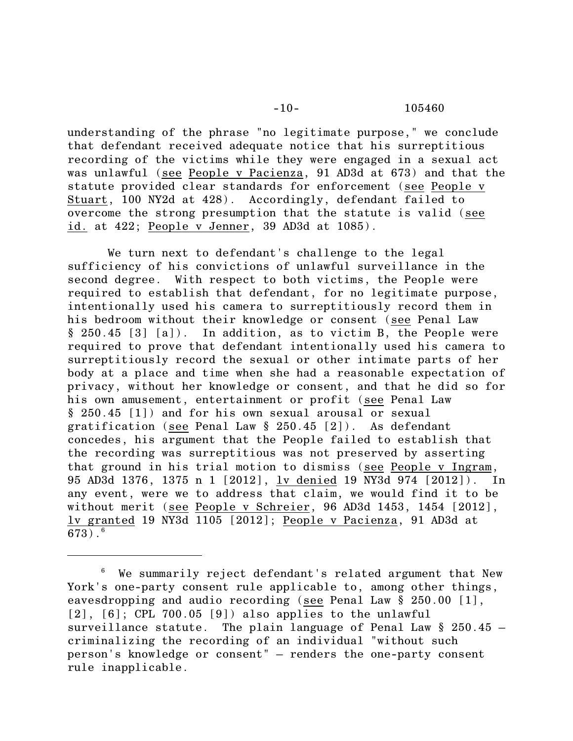understanding of the phrase "no legitimate purpose," we conclude that defendant received adequate notice that his surreptitious recording of the victims while they were engaged in a sexual act was unlawful (see People v Pacienza, 91 AD3d at 673) and that the statute provided clear standards for enforcement (see People v Stuart, 100 NY2d at 428). Accordingly, defendant failed to overcome the strong presumption that the statute is valid (see id. at 422; People v Jenner, 39 AD3d at 1085).

We turn next to defendant's challenge to the legal sufficiency of his convictions of unlawful surveillance in the second degree. With respect to both victims, the People were required to establish that defendant, for no legitimate purpose, intentionally used his camera to surreptitiously record them in his bedroom without their knowledge or consent (see Penal Law § 250.45 [3] [a]). In addition, as to victim B, the People were required to prove that defendant intentionally used his camera to surreptitiously record the sexual or other intimate parts of her body at a place and time when she had a reasonable expectation of privacy, without her knowledge or consent, and that he did so for his own amusement, entertainment or profit (see Penal Law § 250.45 [1]) and for his own sexual arousal or sexual gratification (see Penal Law § 250.45 [2]). As defendant concedes, his argument that the People failed to establish that the recording was surreptitious was not preserved by asserting that ground in his trial motion to dismiss (see People v Ingram, 95 AD3d 1376, 1375 n 1 [2012], lv denied 19 NY3d 974 [2012]). In any event, were we to address that claim, we would find it to be without merit (see People v Schreier, 96 AD3d 1453, 1454 [2012], lv granted 19 NY3d 1105 [2012]; People v Pacienza, 91 AD3d at  $673)$  .  $^6\,$ 

 $6$  We summarily reject defendant's related argument that New York's one-party consent rule applicable to, among other things, eavesdropping and audio recording (see Penal Law § 250.00 [1],  $[2]$ ,  $[6]$ ; CPL 700.05  $[9]$ ) also applies to the unlawful surveillance statute. The plain language of Penal Law  $\S$  250.45 criminalizing the recording of an individual "without such person's knowledge or consent" – renders the one-party consent rule inapplicable.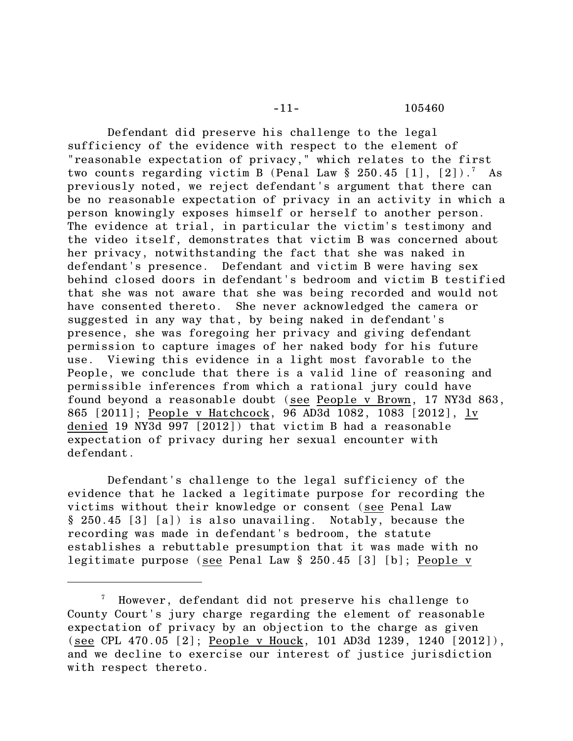-11- 105460

Defendant did preserve his challenge to the legal sufficiency of the evidence with respect to the element of "reasonable expectation of privacy," which relates to the first two counts regarding victim B (Penal Law  $\S 250.45$  [1], [2]).<sup>7</sup> As previously noted, we reject defendant's argument that there can be no reasonable expectation of privacy in an activity in which a person knowingly exposes himself or herself to another person. The evidence at trial, in particular the victim's testimony and the video itself, demonstrates that victim B was concerned about her privacy, notwithstanding the fact that she was naked in defendant's presence. Defendant and victim B were having sex behind closed doors in defendant's bedroom and victim B testified that she was not aware that she was being recorded and would not have consented thereto. She never acknowledged the camera or suggested in any way that, by being naked in defendant's presence, she was foregoing her privacy and giving defendant permission to capture images of her naked body for his future use. Viewing this evidence in a light most favorable to the People, we conclude that there is a valid line of reasoning and permissible inferences from which a rational jury could have found beyond a reasonable doubt (see People v Brown, 17 NY3d 863, 865 [2011]; People v Hatchcock, 96 AD3d 1082, 1083 [2012], lv denied 19 NY3d 997 [2012]) that victim B had a reasonable expectation of privacy during her sexual encounter with defendant.

Defendant's challenge to the legal sufficiency of the evidence that he lacked a legitimate purpose for recording the victims without their knowledge or consent (see Penal Law § 250.45 [3] [a]) is also unavailing. Notably, because the recording was made in defendant's bedroom, the statute establishes a rebuttable presumption that it was made with no legitimate purpose (see Penal Law § 250.45 [3] [b]; People v

 $\frac{7}{7}$  However, defendant did not preserve his challenge to County Court's jury charge regarding the element of reasonable expectation of privacy by an objection to the charge as given (see CPL 470.05 [2]; People v Houck, 101 AD3d 1239, 1240 [2012]), and we decline to exercise our interest of justice jurisdiction with respect thereto.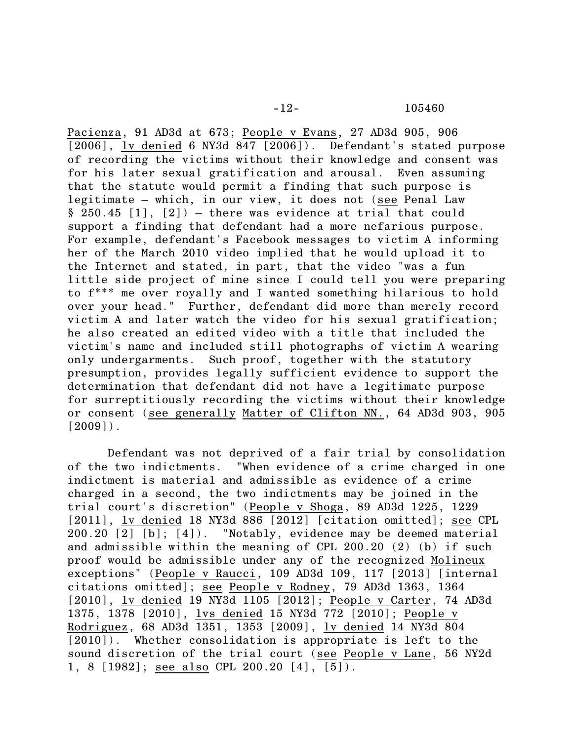Pacienza, 91 AD3d at 673; People v Evans, 27 AD3d 905, 906 [2006], ly denied 6 NY3d 847 [2006]). Defendant's stated purpose of recording the victims without their knowledge and consent was for his later sexual gratification and arousal. Even assuming that the statute would permit a finding that such purpose is legitimate – which, in our view, it does not (see Penal Law  $§ 250.45 [1], [2]) - there was evidence at trial that could$ support a finding that defendant had a more nefarious purpose. For example, defendant's Facebook messages to victim A informing her of the March 2010 video implied that he would upload it to the Internet and stated, in part, that the video "was a fun little side project of mine since I could tell you were preparing to f\*\*\* me over royally and I wanted something hilarious to hold over your head." Further, defendant did more than merely record victim A and later watch the video for his sexual gratification; he also created an edited video with a title that included the victim's name and included still photographs of victim A wearing only undergarments. Such proof, together with the statutory presumption, provides legally sufficient evidence to support the determination that defendant did not have a legitimate purpose for surreptitiously recording the victims without their knowledge or consent (see generally Matter of Clifton NN., 64 AD3d 903, 905  $[2009]$ .

Defendant was not deprived of a fair trial by consolidation of the two indictments. "When evidence of a crime charged in one indictment is material and admissible as evidence of a crime charged in a second, the two indictments may be joined in the trial court's discretion" (People v Shoga, 89 AD3d 1225, 1229 [2011], lv denied 18 NY3d 886 [2012] [citation omitted]; see CPL 200.20 [2] [b]; [4]). "Notably, evidence may be deemed material and admissible within the meaning of CPL 200.20 (2) (b) if such proof would be admissible under any of the recognized Molineux exceptions" (People v Raucci, 109 AD3d 109, 117 [2013] [internal citations omitted]; see People v Rodney, 79 AD3d 1363, 1364 [2010], lv denied 19 NY3d 1105 [2012]; People v Carter, 74 AD3d 1375, 1378 [2010], lvs denied 15 NY3d 772 [2010]; People v Rodriguez, 68 AD3d 1351, 1353 [2009], lv denied 14 NY3d 804 [2010]). Whether consolidation is appropriate is left to the sound discretion of the trial court (see People v Lane, 56 NY2d 1, 8 [1982]; see also CPL 200.20 [4], [5]).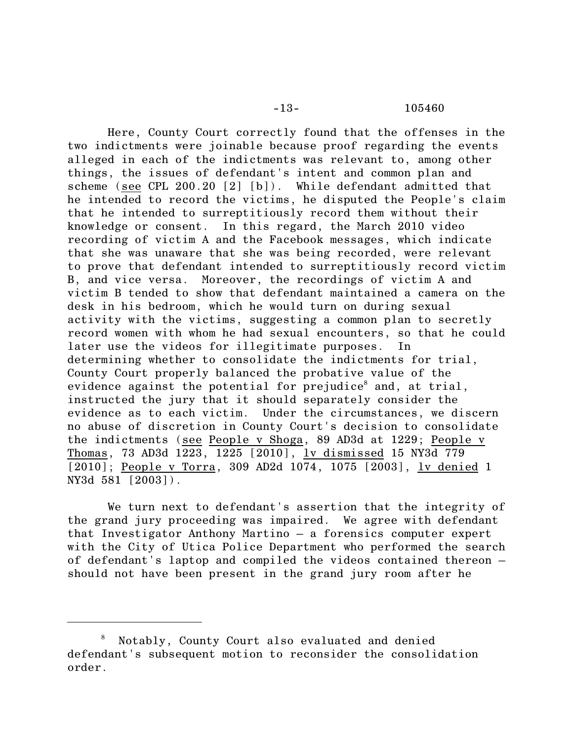Here, County Court correctly found that the offenses in the two indictments were joinable because proof regarding the events alleged in each of the indictments was relevant to, among other things, the issues of defendant's intent and common plan and scheme (see CPL 200.20 [2] [b]). While defendant admitted that he intended to record the victims, he disputed the People's claim that he intended to surreptitiously record them without their knowledge or consent. In this regard, the March 2010 video recording of victim A and the Facebook messages, which indicate that she was unaware that she was being recorded, were relevant to prove that defendant intended to surreptitiously record victim B, and vice versa. Moreover, the recordings of victim A and victim B tended to show that defendant maintained a camera on the desk in his bedroom, which he would turn on during sexual activity with the victims, suggesting a common plan to secretly record women with whom he had sexual encounters, so that he could later use the videos for illegitimate purposes. In determining whether to consolidate the indictments for trial, County Court properly balanced the probative value of the evidence against the potential for prejudice<sup>8</sup> and, at trial, instructed the jury that it should separately consider the evidence as to each victim. Under the circumstances, we discern no abuse of discretion in County Court's decision to consolidate the indictments (see People v Shoga, 89 AD3d at 1229; People v Thomas, 73 AD3d 1223, 1225 [2010], lv dismissed 15 NY3d 779 [2010]; People v Torra, 309 AD2d 1074, 1075 [2003], lv denied 1 NY3d 581 [2003]).

We turn next to defendant's assertion that the integrity of the grand jury proceeding was impaired. We agree with defendant that Investigator Anthony Martino – a forensics computer expert with the City of Utica Police Department who performed the search of defendant's laptop and compiled the videos contained thereon – should not have been present in the grand jury room after he

Notably, County Court also evaluated and denied <sup>8</sup> defendant's subsequent motion to reconsider the consolidation order.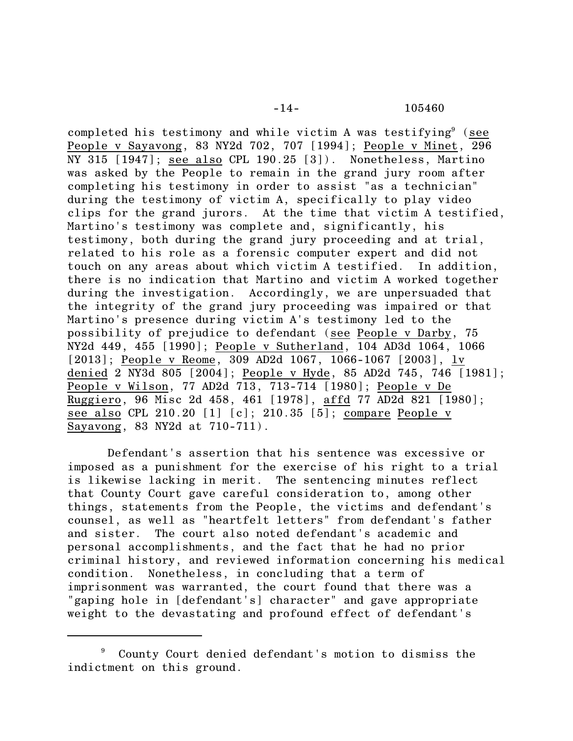-14- 105460

completed his testimony and while victim A was testifying $9$  (see People v Sayavong, 83 NY2d 702, 707 [1994]; People v Minet, 296 NY 315 [1947]; see also CPL 190.25 [3]). Nonetheless, Martino was asked by the People to remain in the grand jury room after completing his testimony in order to assist "as a technician" during the testimony of victim A, specifically to play video clips for the grand jurors. At the time that victim A testified, Martino's testimony was complete and, significantly, his testimony, both during the grand jury proceeding and at trial, related to his role as a forensic computer expert and did not touch on any areas about which victim A testified. In addition, there is no indication that Martino and victim A worked together during the investigation. Accordingly, we are unpersuaded that the integrity of the grand jury proceeding was impaired or that Martino's presence during victim A's testimony led to the possibility of prejudice to defendant (see People v Darby, 75 NY2d 449, 455 [1990]; People v Sutherland, 104 AD3d 1064, 1066 [2013]; People v Reome, 309 AD2d 1067, 1066-1067 [2003], lv denied 2 NY3d 805 [2004]; People v Hyde, 85 AD2d 745, 746 [1981]; People v Wilson, 77 AD2d 713, 713-714 [1980]; People v De Ruggiero, 96 Misc 2d 458, 461 [1978], affd 77 AD2d 821 [1980]; see also CPL 210.20 [1] [c]; 210.35 [5]; compare People v Sayavong, 83 NY2d at 710-711).

Defendant's assertion that his sentence was excessive or imposed as a punishment for the exercise of his right to a trial is likewise lacking in merit. The sentencing minutes reflect that County Court gave careful consideration to, among other things, statements from the People, the victims and defendant's counsel, as well as "heartfelt letters" from defendant's father and sister. The court also noted defendant's academic and personal accomplishments, and the fact that he had no prior criminal history, and reviewed information concerning his medical condition. Nonetheless, in concluding that a term of imprisonment was warranted, the court found that there was a "gaping hole in [defendant's] character" and gave appropriate weight to the devastating and profound effect of defendant's

<sup>&</sup>lt;sup>9</sup> County Court denied defendant's motion to dismiss the indictment on this ground.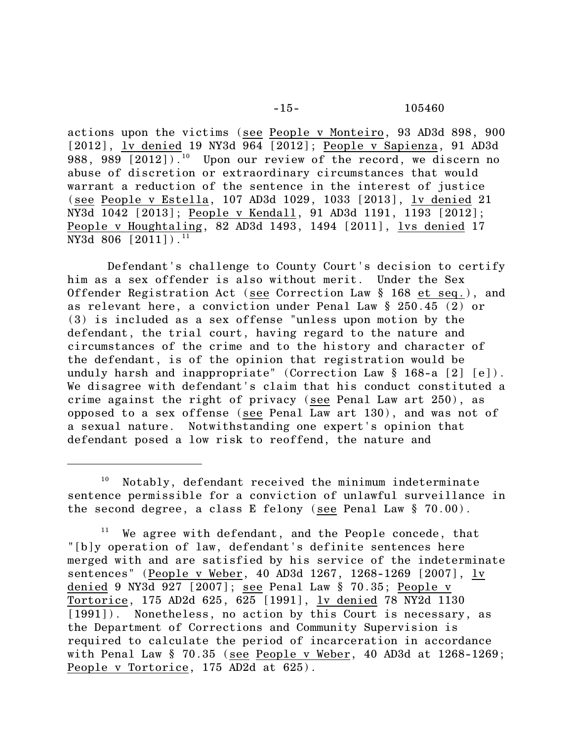actions upon the victims (see People v Monteiro, 93 AD3d 898, 900 [2012], lv denied 19 NY3d 964 [2012]; People v Sapienza, 91 AD3d  $988, 989$   $[2012]$ ).<sup>10</sup> Upon our review of the record, we discern no abuse of discretion or extraordinary circumstances that would warrant a reduction of the sentence in the interest of justice (see People v Estella, 107 AD3d 1029, 1033 [2013], lv denied 21 NY3d 1042 [2013]; People v Kendall, 91 AD3d 1191, 1193 [2012]; People v Houghtaling, 82 AD3d 1493, 1494 [2011], lvs denied 17 NY3d 806  $[2011]$ .<sup>11</sup>

Defendant's challenge to County Court's decision to certify him as a sex offender is also without merit. Under the Sex Offender Registration Act (see Correction Law § 168 et seq.), and as relevant here, a conviction under Penal Law § 250.45 (2) or (3) is included as a sex offense "unless upon motion by the defendant, the trial court, having regard to the nature and circumstances of the crime and to the history and character of the defendant, is of the opinion that registration would be unduly harsh and inappropriate" (Correction Law § 168-a [2] [e]). We disagree with defendant's claim that his conduct constituted a crime against the right of privacy (see Penal Law art 250), as opposed to a sex offense (see Penal Law art 130), and was not of a sexual nature. Notwithstanding one expert's opinion that defendant posed a low risk to reoffend, the nature and

 $10$  Notably, defendant received the minimum indeterminate sentence permissible for a conviction of unlawful surveillance in the second degree, a class E felony (see Penal Law § 70.00).

We agree with defendant, and the People concede, that "[b]y operation of law, defendant's definite sentences here merged with and are satisfied by his service of the indeterminate sentences" (People v Weber, 40 AD3d 1267, 1268-1269 [2007], lv denied 9 NY3d 927 [2007]; see Penal Law § 70.35; People v Tortorice, 175 AD2d 625, 625 [1991], lv denied 78 NY2d 1130 [1991]). Nonetheless, no action by this Court is necessary, as the Department of Corrections and Community Supervision is required to calculate the period of incarceration in accordance with Penal Law § 70.35 (see People v Weber, 40 AD3d at 1268-1269; People v Tortorice, 175 AD2d at 625).